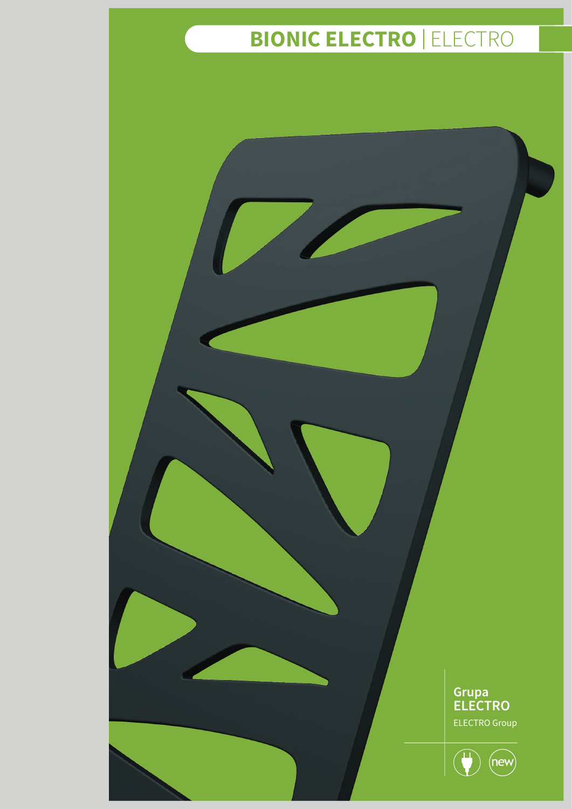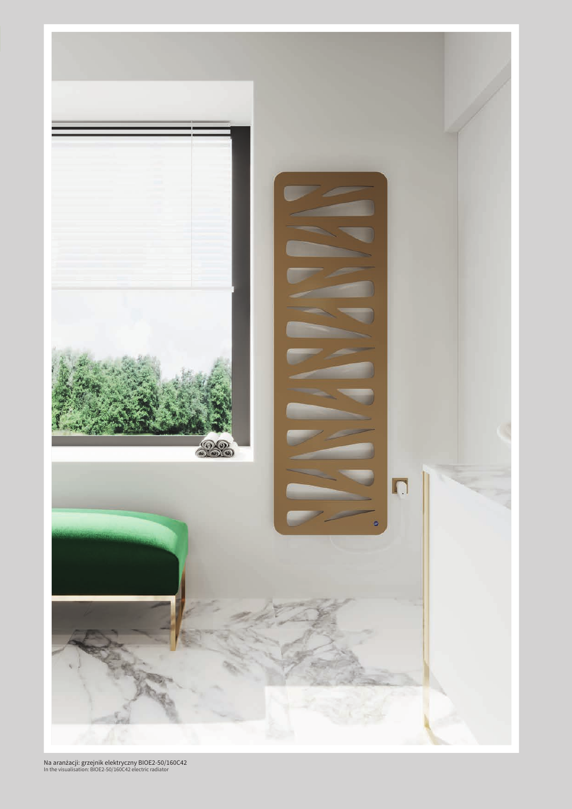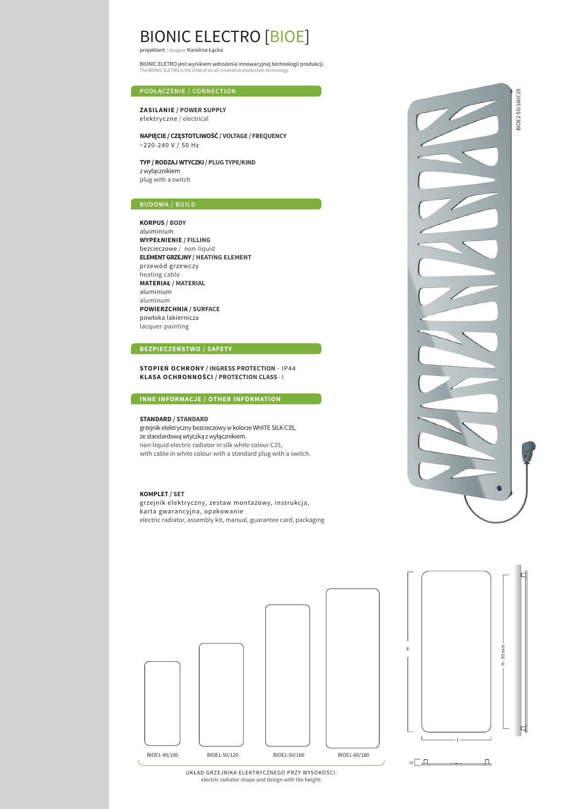## BIONIC ELECTRO [BIOE]

projektant / designer Karolina Łącka

BIONIC ELETRO jest wynikiem wdrożenia innowacyjnej technologii produkcji. The BIONIC ELETRO is the child of an all-innovative production technology.

#### **PODŁĄCZENIE / CONNECTION**

**ZASILANIE / POWER SUPPLY** elektryczne / electrical

**NAPIĘCIE / CZĘSTOTLIWOŚĆ / VOLTAGE / FREQUENCY** ~220-240 V / 50 Hz

**TYP / RODZAJ WTYCZKI / PLUG TYPE/KIND** z wyłącznikiem plug with a switch

**KORPUS / BODY**  aluiminium **WYPEŁNIENIE / FILLING**  bezcieczowe / non-liquid **ELEMENT GRZEJNY / HEATING ELEMENT**  przewód grzewczy heating cable **MATERIAŁ / MATERIAL**  aluminium aluminum **POWIERZCHNIA / SURFACE** powłoka lakiernicza lacquer-painting

### **BEZPIECZEŃSTWO / SAFETY**

**STOPIEŃ OCHRONY / INGRESS PROTECTION** - IP44 **KLASA OCHRONNOŚCI / PROTECTION CLASS** - I

### **INNE INFORMACJE / OTHER INFORMATION**

#### **STANDARD / STANDARD**

grzejnik elektryczny bezcieczowy w kolorze WHITE SILK C35, ze standardową wtyczką z wyłącznikiem. non-liquid electric radiator in silk white colour C35, with cable in white colour with a standard plug with a switch.

#### **KOMPLET / SET**

grzejnik elektryczny, zestaw montażowy, instrukcja, karta gwarancyjna, opakowanie electric radiator, assembly kit, manual, guarantee card, packaging





UKŁAD GRZEJNIKA ELEKTRYCZNEGO PRZY WYSOKOŚCI: electric radiator shape and design with the height: